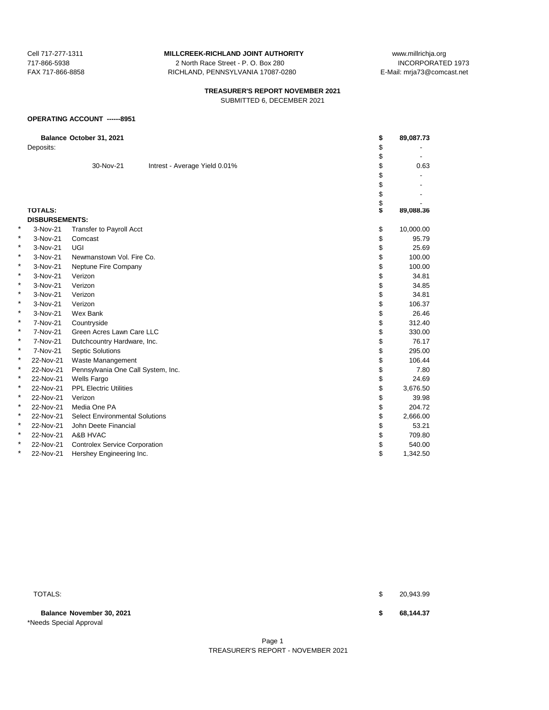717-866-5938 2 North Race Street - P. O. Box 280 FAX 717-866-8858 RICHLAND, PENNSYLVANIA 17087-0280 E-Mail: mrja73@comcast.net

Cell 717-277-1311 **MILLCREEK-RICHLAND JOINT AUTHORITY** www.millrichja.org<br>717-866-5938 1973 200 Morth Race Street - P. O. Box 280

## **TREASURER'S REPORT NOVEMBER 2021** SUBMITTED 6, DECEMBER 2021

### **OPERATING ACCOUNT ------8951**

|   |                       | Balance October 31, 2021              |                               | \$<br>89,087.73 |
|---|-----------------------|---------------------------------------|-------------------------------|-----------------|
|   | Deposits:             |                                       |                               | \$              |
|   |                       |                                       |                               | \$              |
|   |                       | 30-Nov-21                             | Intrest - Average Yield 0.01% | \$<br>0.63      |
|   |                       |                                       |                               | \$              |
|   |                       |                                       |                               | \$              |
|   |                       |                                       |                               | \$              |
|   |                       |                                       |                               | \$              |
|   | <b>TOTALS:</b>        |                                       |                               | 89,088.36       |
|   | <b>DISBURSEMENTS:</b> |                                       |                               |                 |
| × | 3-Nov-21              | <b>Transfer to Payroll Acct</b>       |                               | \$<br>10,000.00 |
| * | 3-Nov-21              | Comcast                               |                               | \$<br>95.79     |
| * | 3-Nov-21              | UGI                                   |                               | \$<br>25.69     |
| * | 3-Nov-21              | Newmanstown Vol. Fire Co.             |                               | \$<br>100.00    |
| * | 3-Nov-21              | Neptune Fire Company                  |                               | \$<br>100.00    |
| * | 3-Nov-21              | Verizon                               |                               | \$<br>34.81     |
| * | 3-Nov-21              | Verizon                               |                               | \$<br>34.85     |
| * | 3-Nov-21              | Verizon                               |                               | \$<br>34.81     |
| * | 3-Nov-21              | Verizon                               |                               | \$<br>106.37    |
| * | 3-Nov-21              | Wex Bank                              |                               | \$<br>26.46     |
| * | 7-Nov-21              | Countryside                           |                               | \$<br>312.40    |
| * | 7-Nov-21              | Green Acres Lawn Care LLC             |                               | \$<br>330.00    |
| * | 7-Nov-21              | Dutchcountry Hardware, Inc.           |                               | \$<br>76.17     |
| * | 7-Nov-21              | <b>Septic Solutions</b>               |                               | \$<br>295.00    |
| × | 22-Nov-21             | Waste Manangement                     |                               | \$<br>106.44    |
| * | 22-Nov-21             | Pennsylvania One Call System, Inc.    |                               | \$<br>7.80      |
| * | 22-Nov-21             | <b>Wells Fargo</b>                    |                               | \$<br>24.69     |
| * | 22-Nov-21             | <b>PPL Electric Utilities</b>         |                               | \$<br>3,676.50  |
| * | 22-Nov-21             | Verizon                               |                               | \$<br>39.98     |
| * | 22-Nov-21             | Media One PA                          |                               | \$<br>204.72    |
| * | 22-Nov-21             | <b>Select Environmental Solutions</b> |                               | \$<br>2,666.00  |
| * | 22-Nov-21             | John Deete Financial                  |                               | \$<br>53.21     |
| × | 22-Nov-21             | A&B HVAC                              |                               | \$<br>709.80    |
| * | 22-Nov-21             | <b>Controlex Service Corporation</b>  |                               | \$<br>540.00    |
| * | 22-Nov-21             | Hershey Engineering Inc.              |                               | \$<br>1,342.50  |

**Balance November 30, 2021 \$ 68,144.37** \*Needs Special Approval

TOTALS: \$ 20,943.99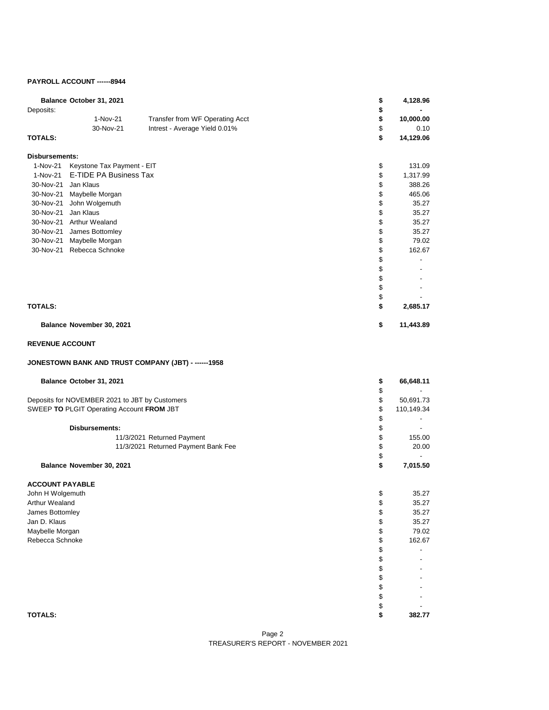## **PAYROLL ACCOUNT ------8944**

| Balance October 31, 2021<br>Deposits:<br>1-Nov-21<br>Transfer from WF Operating Acct<br>30-Nov-21<br>Intrest - Average Yield 0.01%<br><b>TOTALS:</b>                                                                                                                                                                            | \$<br>\$<br>\$<br>\$<br>\$                                                       | 4,128.96<br>10,000.00<br>0.10<br>14,129.06                                                              |
|---------------------------------------------------------------------------------------------------------------------------------------------------------------------------------------------------------------------------------------------------------------------------------------------------------------------------------|----------------------------------------------------------------------------------|---------------------------------------------------------------------------------------------------------|
| <b>Disbursements:</b><br>1-Nov-21<br>Keystone Tax Payment - EIT<br>E-TIDE PA Business Tax<br>1-Nov-21<br>30-Nov-21 Jan Klaus<br>30-Nov-21 Maybelle Morgan<br>30-Nov-21 John Wolgemuth<br>30-Nov-21 Jan Klaus<br>30-Nov-21 Arthur Wealand<br>30-Nov-21 James Bottomley<br>30-Nov-21 Maybelle Morgan<br>30-Nov-21 Rebecca Schnoke | \$<br>\$<br>\$<br>\$<br>\$<br>\$<br>\$<br>\$<br>\$<br>\$<br>\$<br>\$<br>\$<br>\$ | 131.09<br>1,317.99<br>388.26<br>465.06<br>35.27<br>35.27<br>35.27<br>35.27<br>79.02<br>162.67<br>$\sim$ |
| <b>TOTALS:</b>                                                                                                                                                                                                                                                                                                                  | \$<br>\$                                                                         | 2,685.17                                                                                                |
| Balance November 30, 2021                                                                                                                                                                                                                                                                                                       | \$                                                                               | 11,443.89                                                                                               |
| <b>REVENUE ACCOUNT</b>                                                                                                                                                                                                                                                                                                          |                                                                                  |                                                                                                         |
| JONESTOWN BANK AND TRUST COMPANY (JBT) - ------1958                                                                                                                                                                                                                                                                             |                                                                                  |                                                                                                         |
| Balance October 31, 2021                                                                                                                                                                                                                                                                                                        | \$<br>\$                                                                         | 66,648.11                                                                                               |
| Deposits for NOVEMBER 2021 to JBT by Customers<br>SWEEP TO PLGIT Operating Account FROM JBT                                                                                                                                                                                                                                     | \$<br>\$<br>\$                                                                   | 50,691.73<br>110,149.34<br>$\blacksquare$                                                               |
| <b>Disbursements:</b><br>11/3/2021 Returned Payment<br>11/3/2021 Returned Payment Bank Fee<br>Balance November 30, 2021                                                                                                                                                                                                         | \$<br>\$<br>\$<br>\$<br>\$                                                       | 155.00<br>20.00<br>$\overline{\phantom{a}}$<br>7,015.50                                                 |
| <b>ACCOUNT PAYABLE</b><br>John H Wolgemuth<br>Arthur Wealand<br>James Bottomley<br>Jan D. Klaus<br>Maybelle Morgan<br>Rebecca Schnoke                                                                                                                                                                                           | \$<br>\$<br>\$<br>\$<br>\$<br>\$                                                 | 35.27<br>35.27<br>35.27<br>35.27<br>79.02<br>162.67                                                     |

Maybelle Morgan \$ 79.02.<br>Rebecca Schnoke \$ 79.02.02.12 The Second Schnoke \$ 79.02.12 The Second Schnoke \$ 79.02.12 The Second Schnoke \$ Rebecca Schnoke \$

**TOTALS: \$ 382.77**

\$ - \$ - \$ -  $\$\quad$  - $$\mathbb{S}$$  - $\updownarrow$  $\begin{array}{ccc} \text{\$} & & \text{\{\$} \\ \text{\$} & & 382.7 \end{array}$